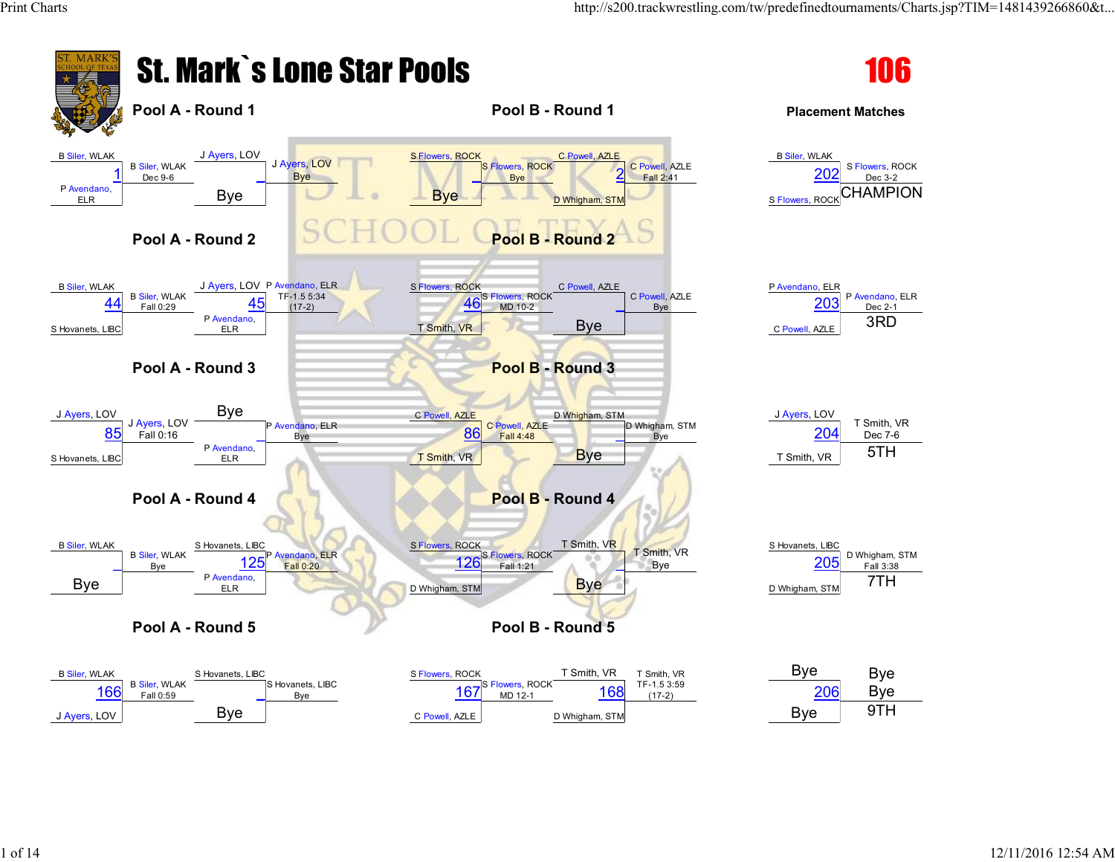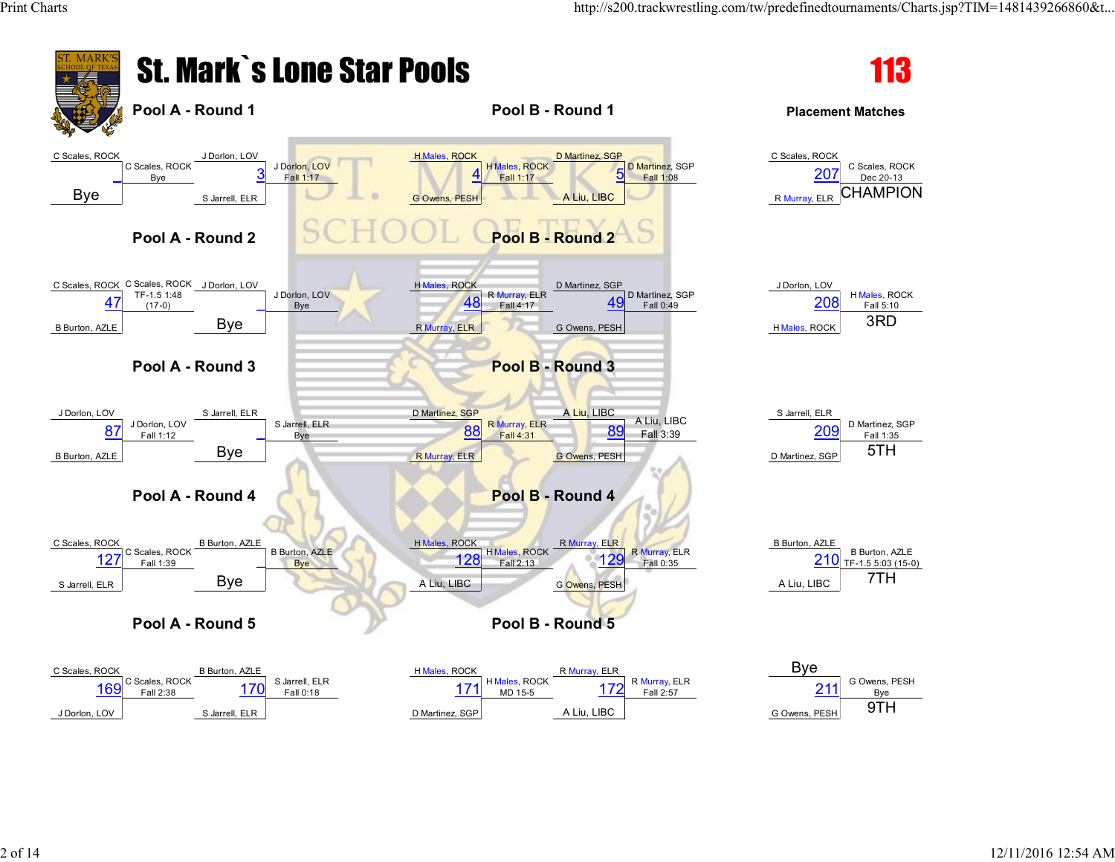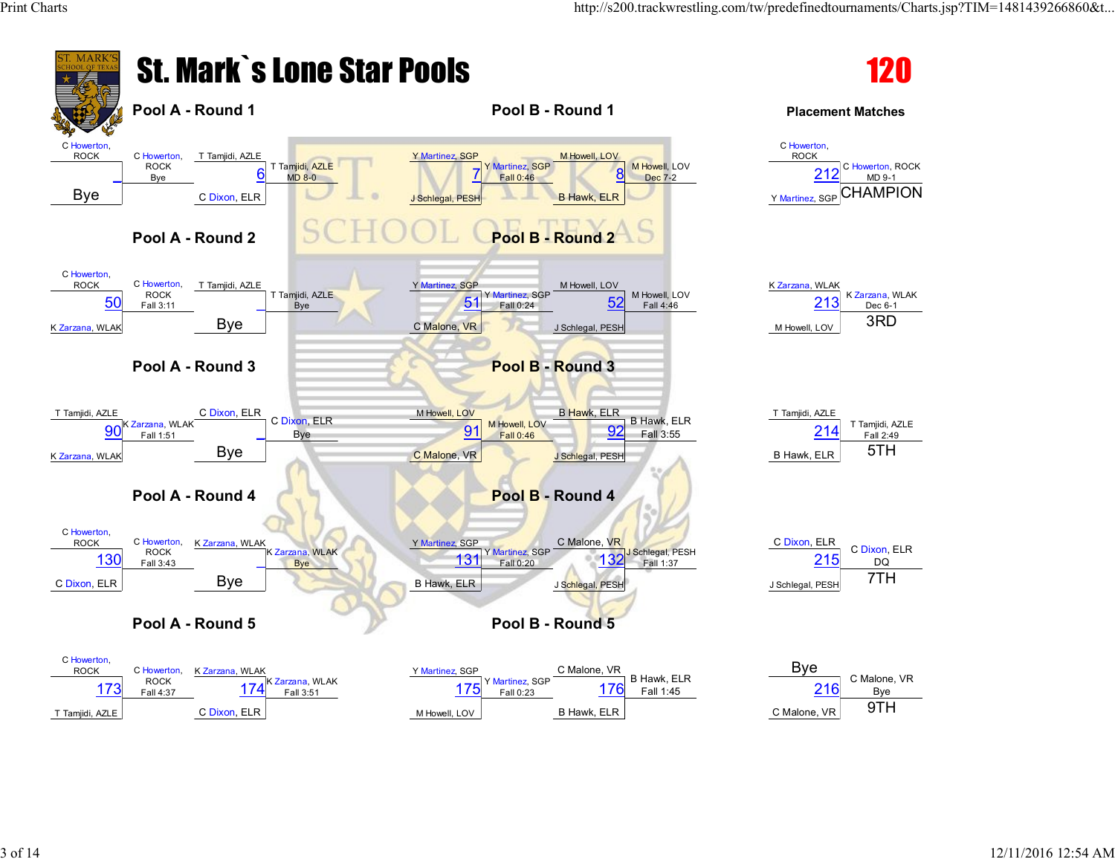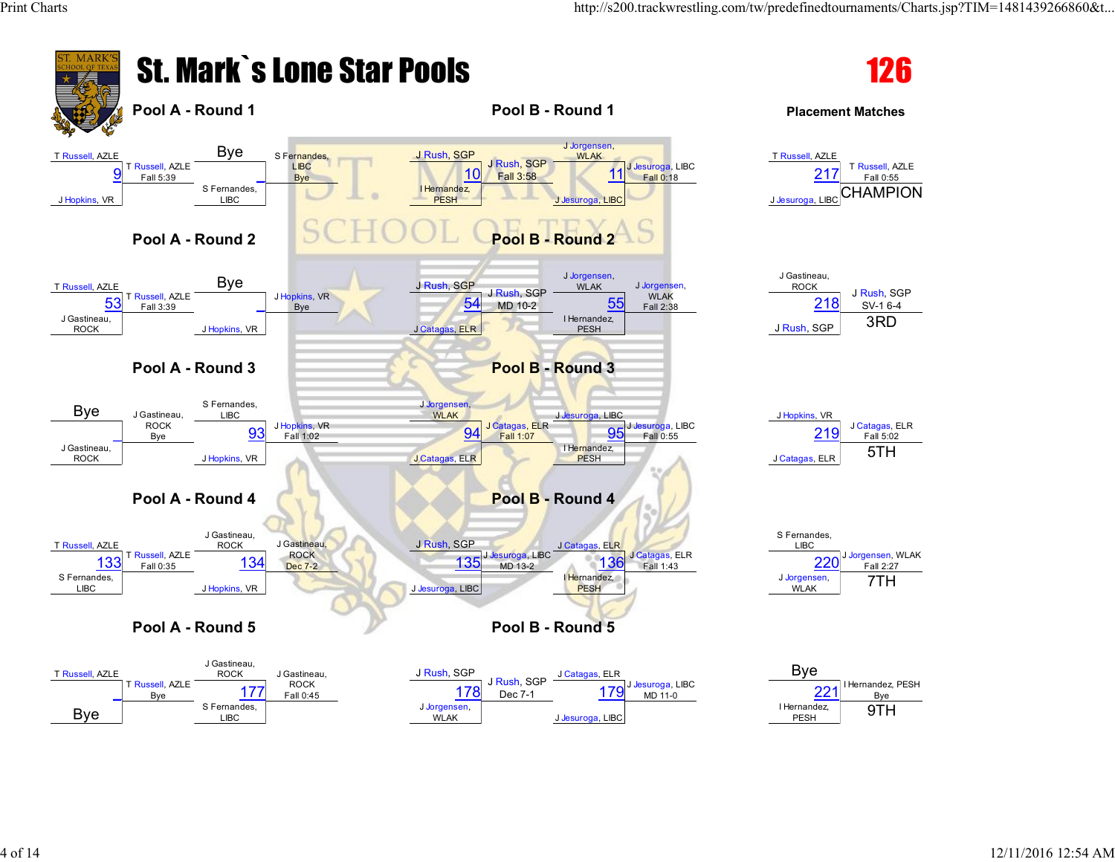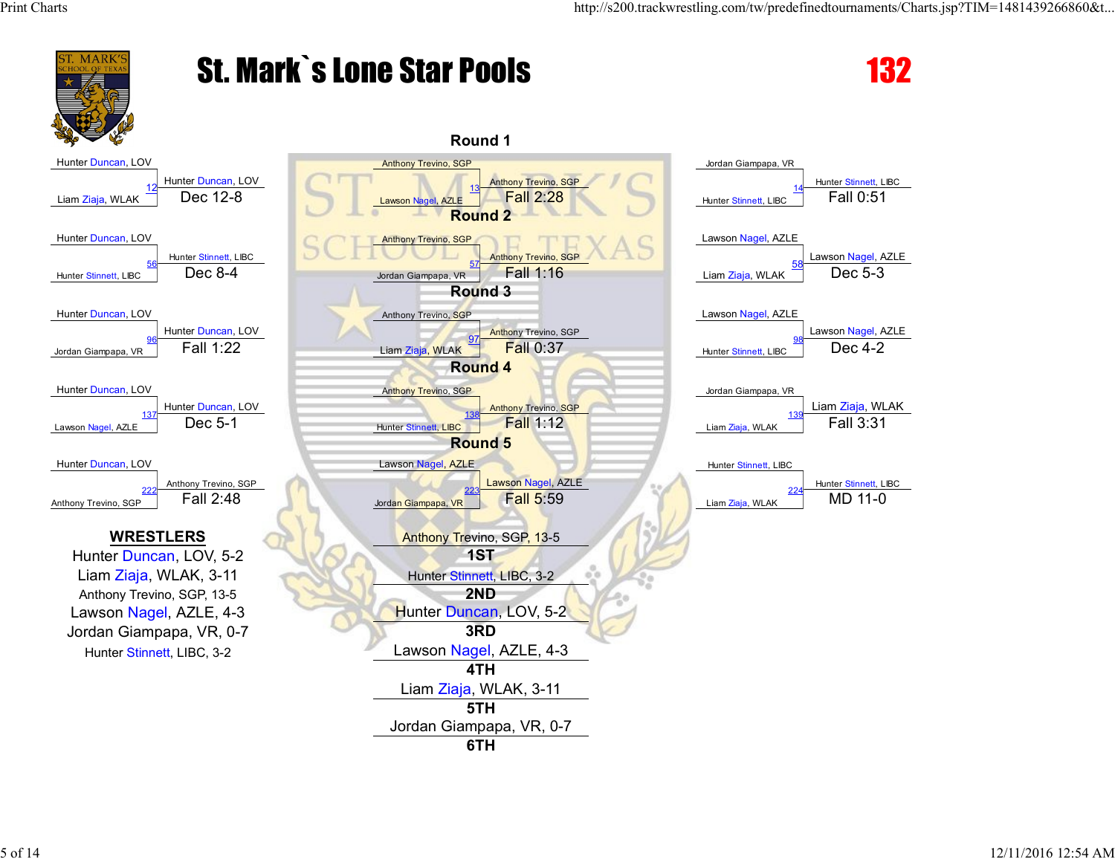

## St. Mark`s Lone Star Pools 132

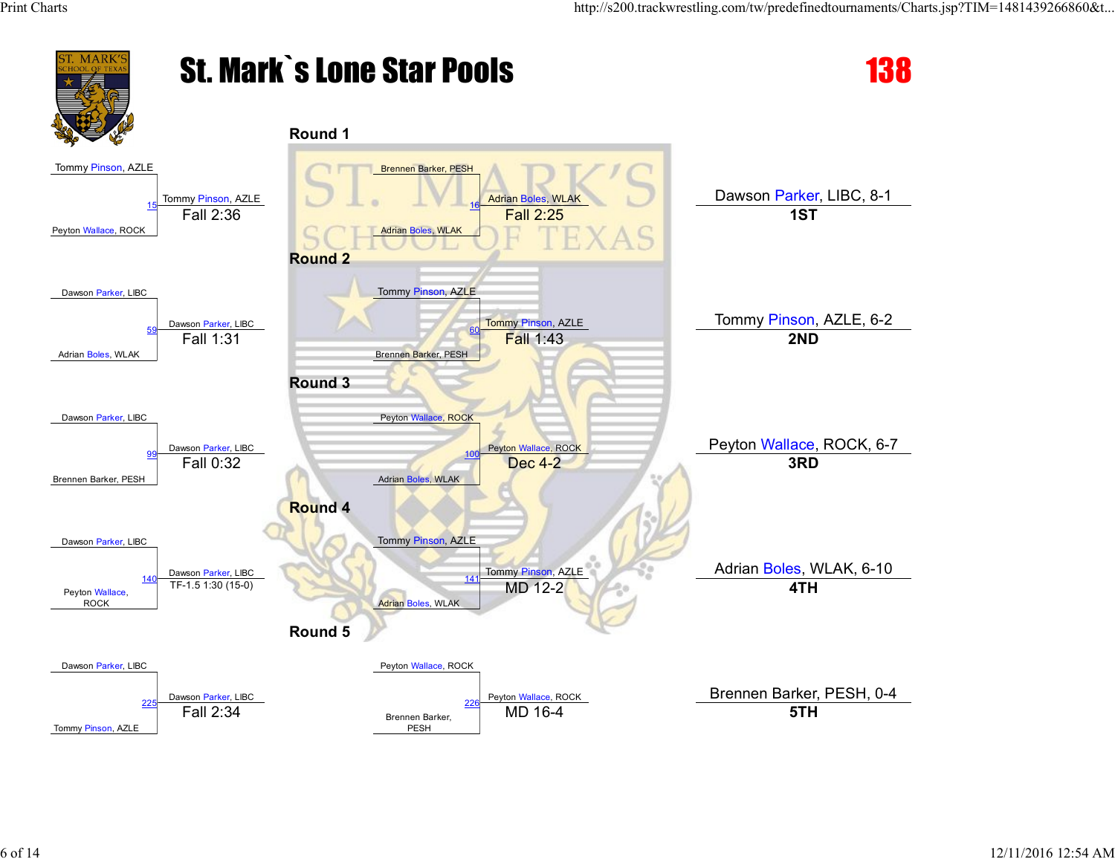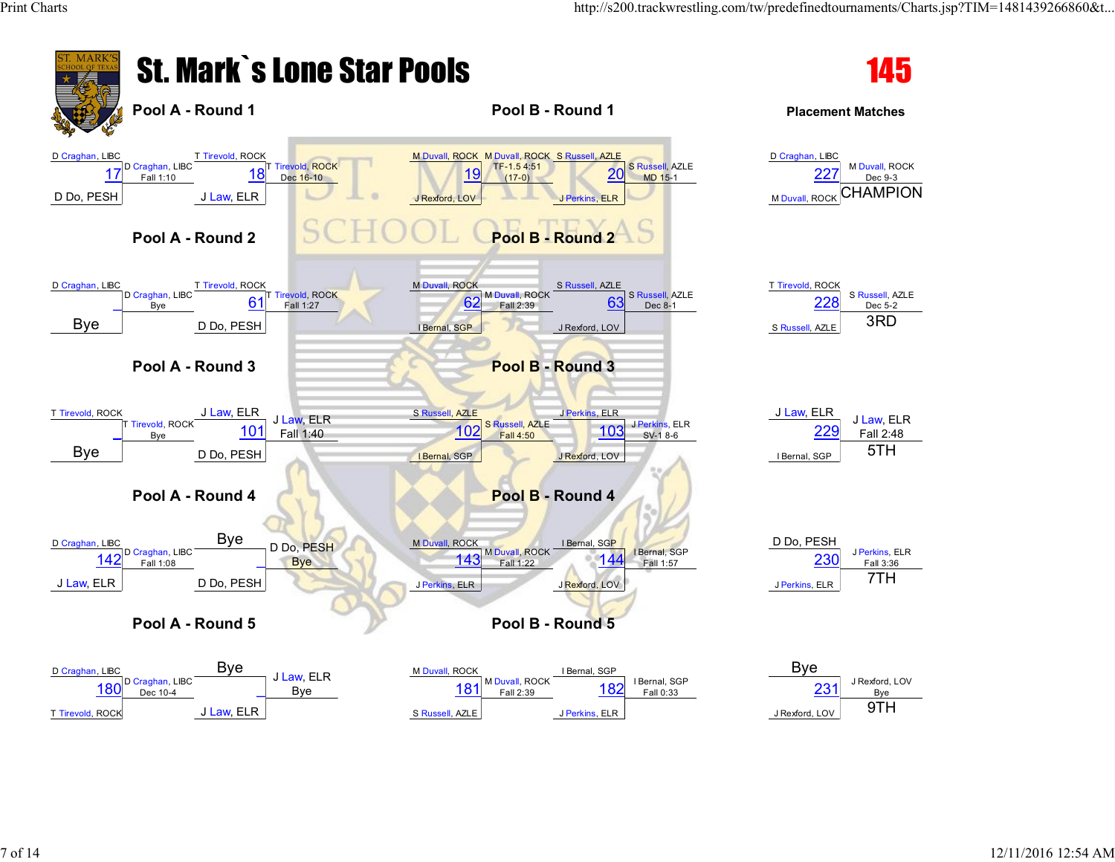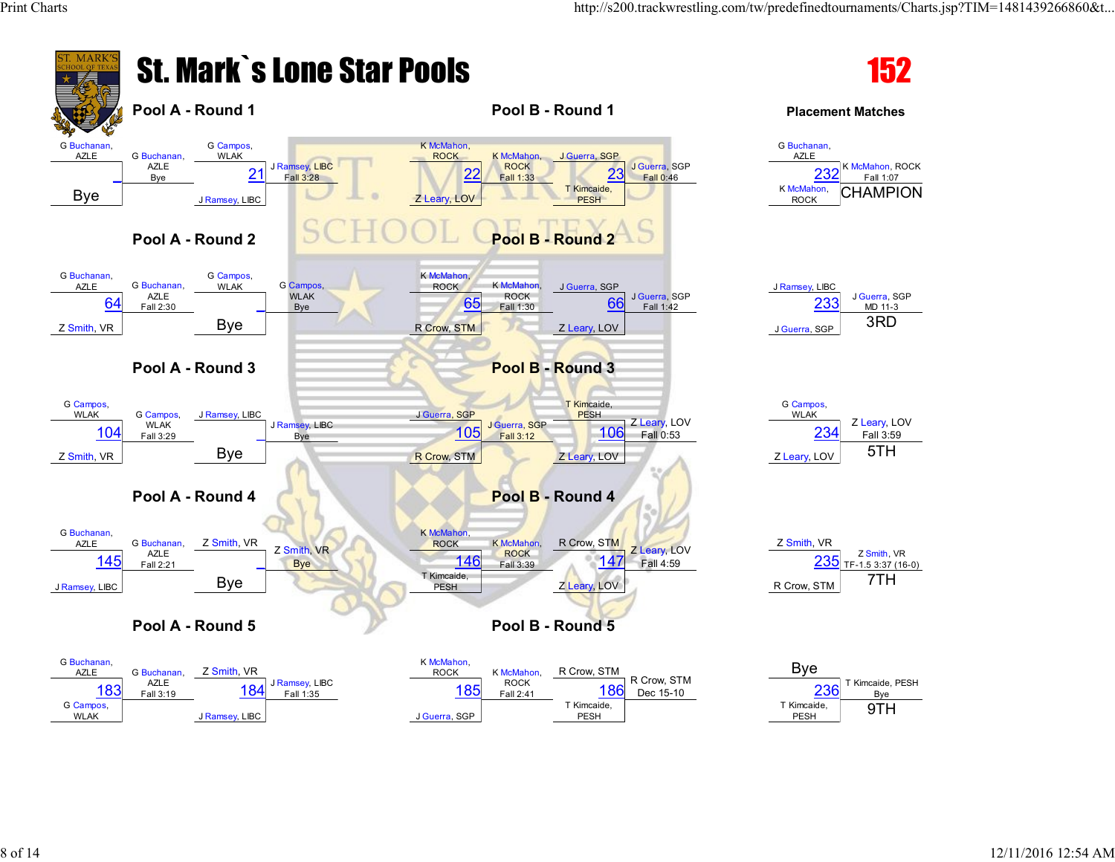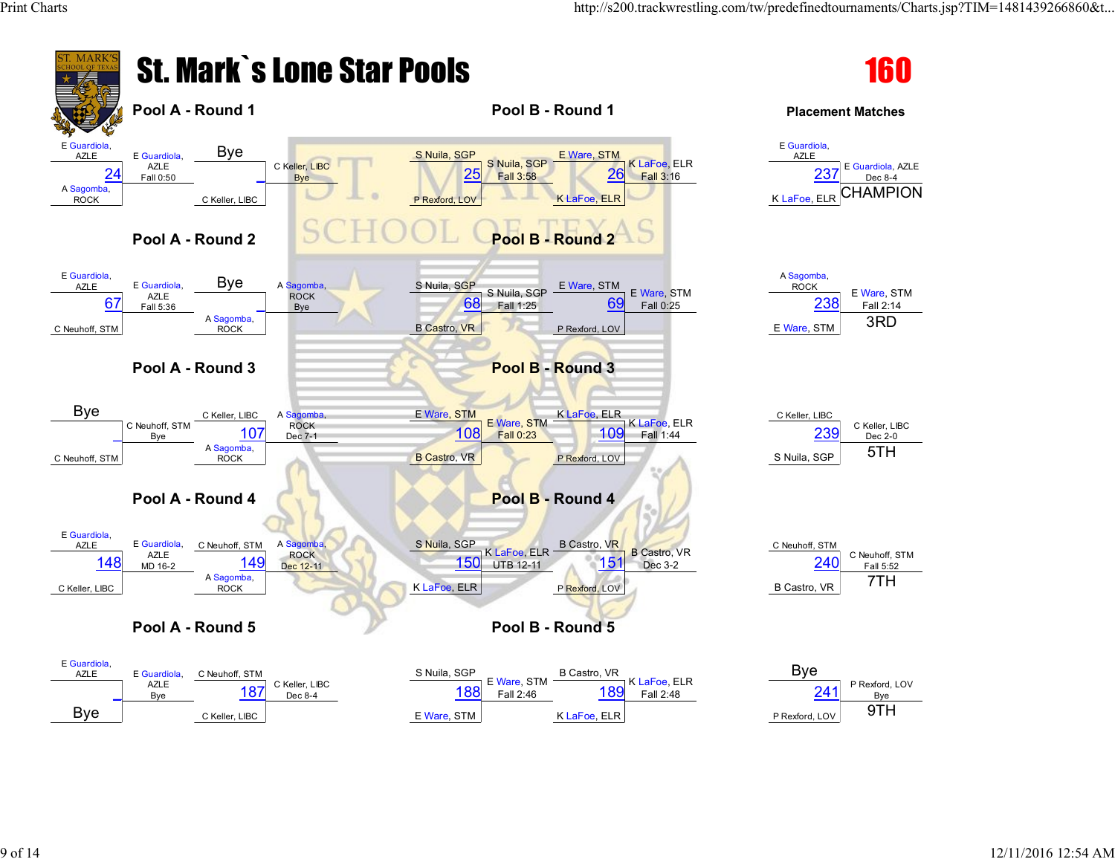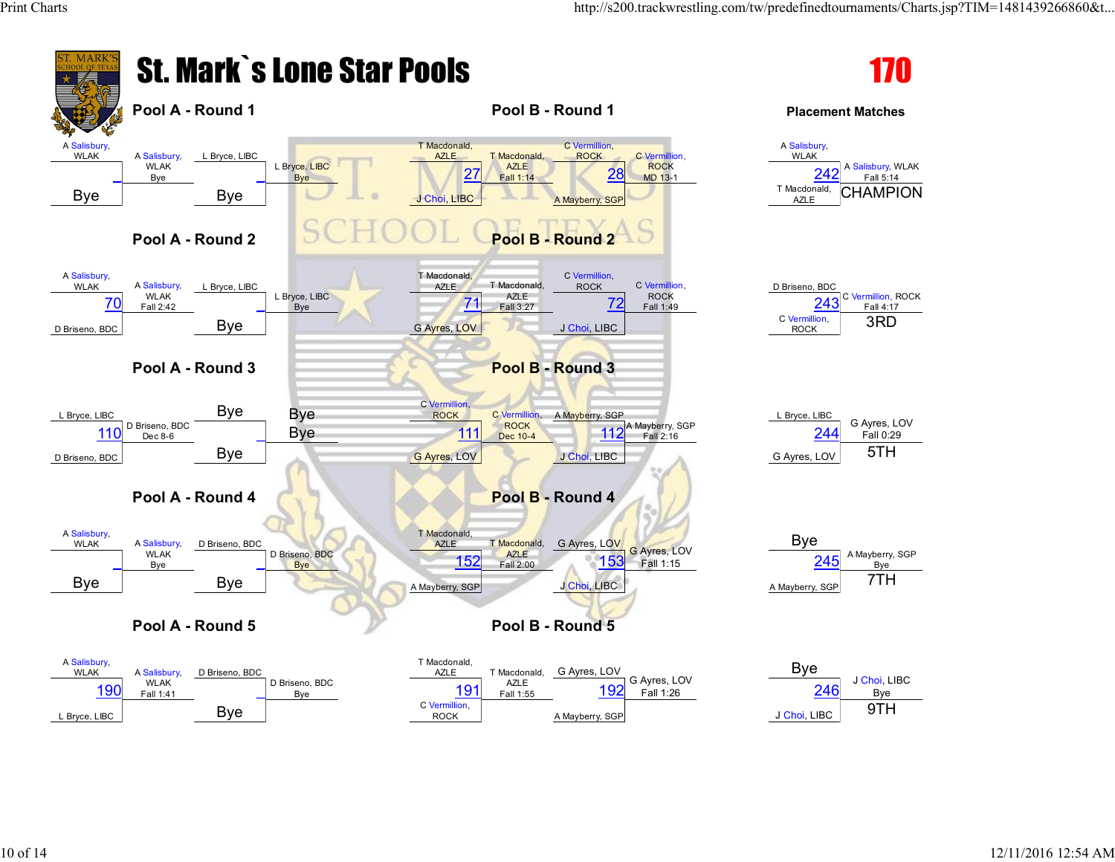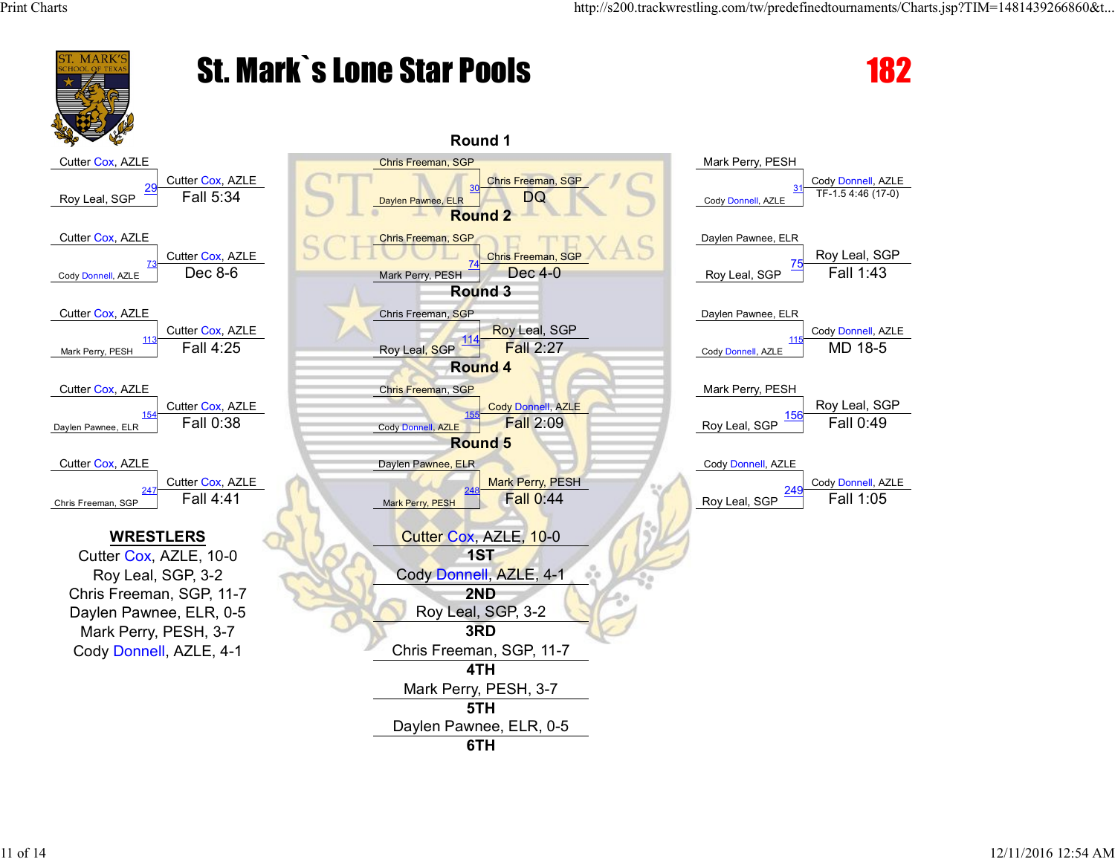

## St. Mark`s Lone Star Pools 182

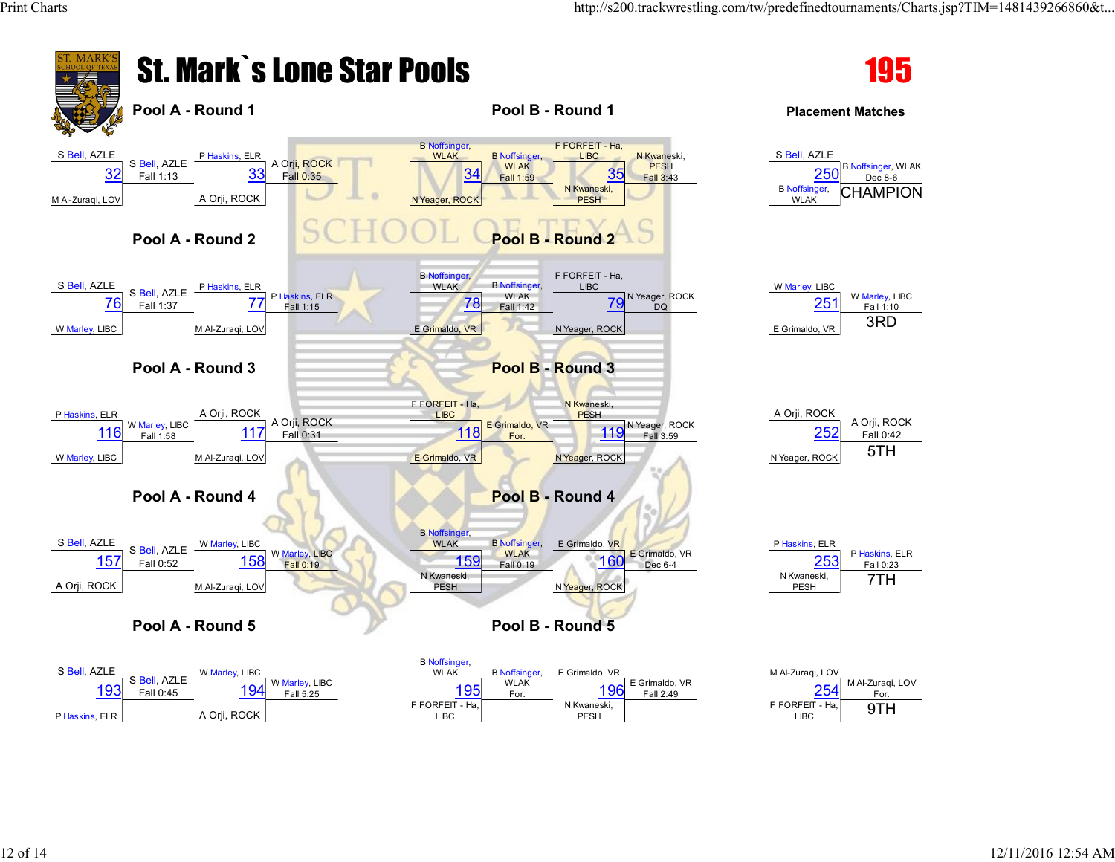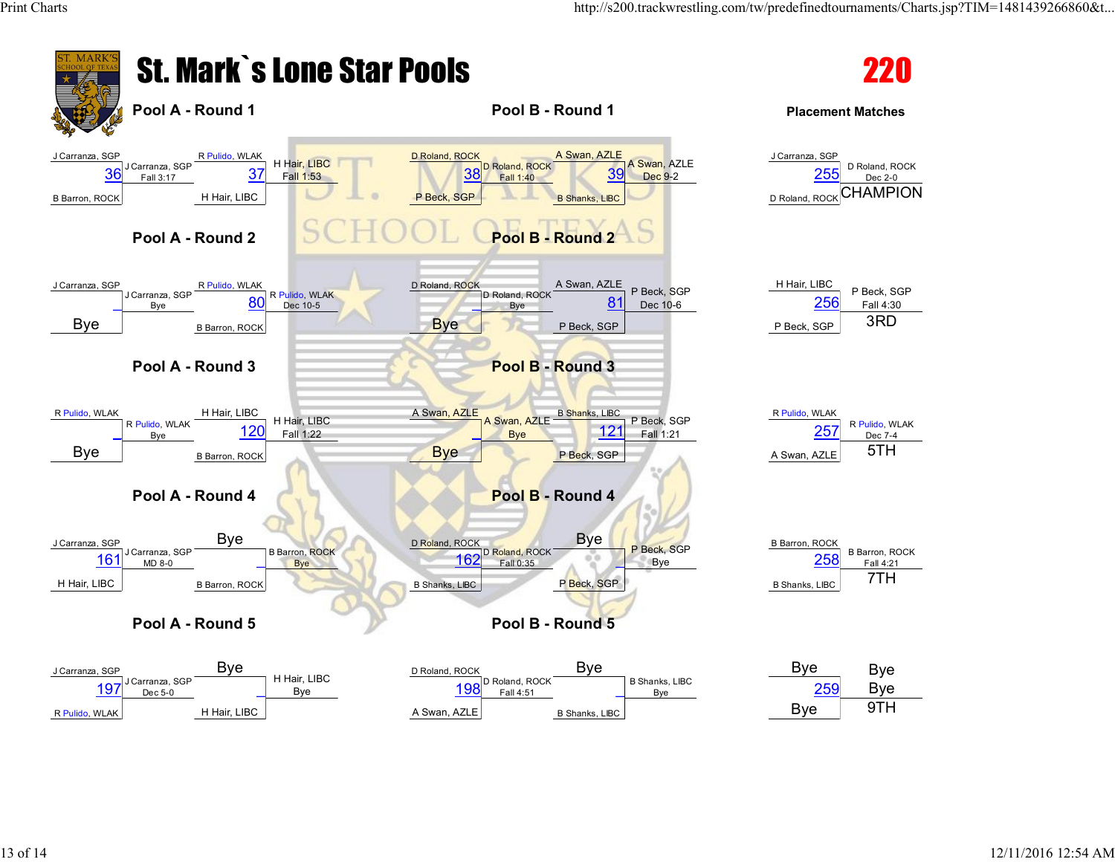